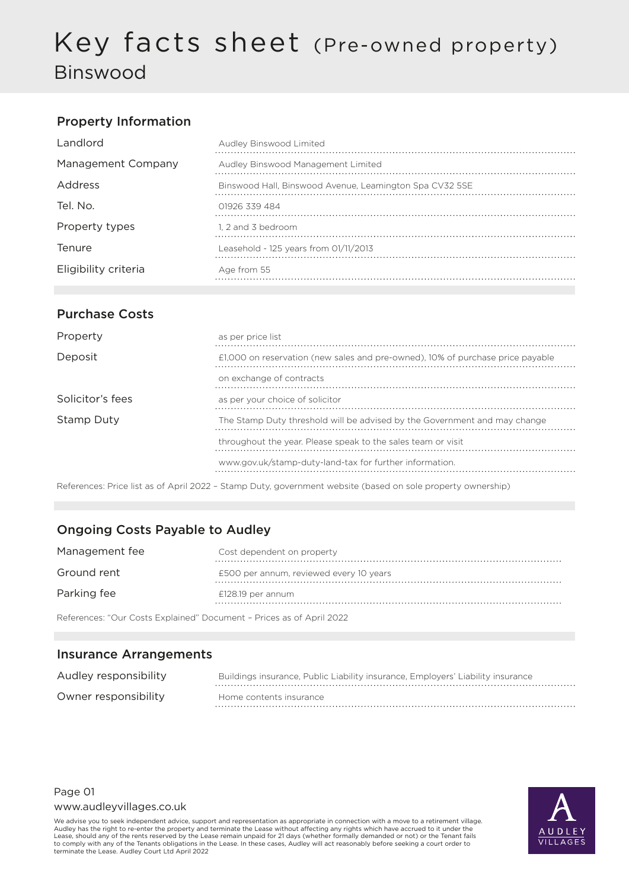# Key facts sheet (Pre-owned property) Binswood

## Property Information

| Landlord             | Audley Binswood Limited                                 |
|----------------------|---------------------------------------------------------|
| Management Company   | Audley Binswood Management Limited                      |
| Address              | Binswood Hall, Binswood Avenue, Leamington Spa CV32 5SE |
| Tel. No.             | 01926 339 484                                           |
| Property types       | 1, 2 and 3 bedroom                                      |
| Tenure               | Leasehold - 125 years from 01/11/2013                   |
| Eligibility criteria | Age from 55                                             |

### Purchase Costs

| Property         | as per price list                                                              |
|------------------|--------------------------------------------------------------------------------|
| Deposit          | £1,000 on reservation (new sales and pre-owned), 10% of purchase price payable |
|                  | on exchange of contracts                                                       |
| Solicitor's fees | as per your choice of solicitor                                                |
| Stamp Duty       | The Stamp Duty threshold will be advised by the Government and may change      |
|                  | throughout the year. Please speak to the sales team or visit                   |
|                  | www.gov.uk/stamp-duty-land-tax for further information.                        |

References: Price list as of April 2022 – Stamp Duty, government website (based on sole property ownership)

## Ongoing Costs Payable to Audley

| Management fee                                                       | Cost dependent on property              |
|----------------------------------------------------------------------|-----------------------------------------|
| Ground rent                                                          | £500 per annum, reviewed every 10 years |
| Parking fee                                                          | $£128.19$ per annum                     |
| References: "Our Costs Explained" Document - Prices as of April 2022 |                                         |

#### Insurance Arrangements

| Audley responsibility | Buildings insurance, Public Liability insurance, Employers' Liability insurance |
|-----------------------|---------------------------------------------------------------------------------|
| Owner responsibility  | Home contents insurance                                                         |

## Page 01

www.audleyvillages.co.uk

We advise you to seek independent advice, support and representation as appropriate in connection with a move to a retirement village. Audley has the right to re-enter the property and terminate the Lease without affecting any rights which have accrued to it under the<br>Lease, should any of the rents reserved by the Lease remain unpaid for 21 days (whether to comply with any of the Tenants obligations in the Lease. In these cases, Audley will act reasonably before seeking a court order to terminate the Lease. Audley Court Ltd April 2022